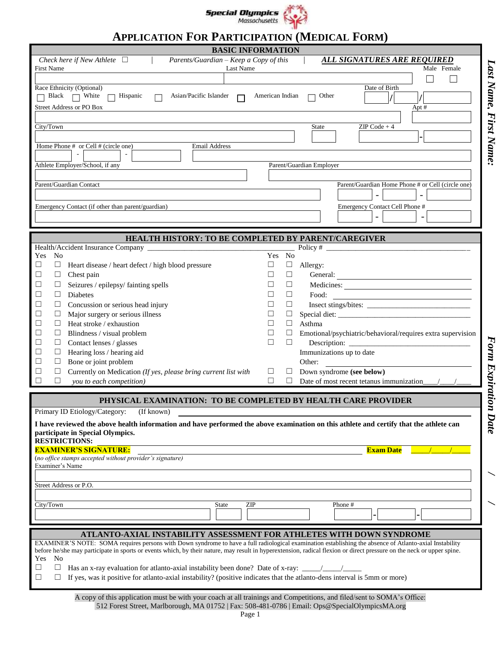

# **APPLICATION FOR PARTICIPATION (MEDICAL FORM)**

| <b>BASIC INFORMATION</b>                                                                                                                                                                                                                                                                                                                                                                                                                                                                                                                                                          |                                                                                                                                          |
|-----------------------------------------------------------------------------------------------------------------------------------------------------------------------------------------------------------------------------------------------------------------------------------------------------------------------------------------------------------------------------------------------------------------------------------------------------------------------------------------------------------------------------------------------------------------------------------|------------------------------------------------------------------------------------------------------------------------------------------|
| Check here if New Athlete $\Box$ /<br>Parents/Guardian - Keep a Copy of this<br><b>First Name</b><br>Last Name                                                                                                                                                                                                                                                                                                                                                                                                                                                                    | <u>ALL SIGNATURES ARE REQUIRED</u><br>Male Female                                                                                        |
|                                                                                                                                                                                                                                                                                                                                                                                                                                                                                                                                                                                   |                                                                                                                                          |
| Race Ethnicity (Optional)<br>$\Box$ Black $\Box$ White $\Box$ Hispanic<br>Asian/Pacific Islander $\Box$<br><b>Street Address or PO Box</b>                                                                                                                                                                                                                                                                                                                                                                                                                                        | Date of Birth<br>American Indian<br>Other<br>$\Box$<br>Apt #                                                                             |
|                                                                                                                                                                                                                                                                                                                                                                                                                                                                                                                                                                                   |                                                                                                                                          |
| City/Town                                                                                                                                                                                                                                                                                                                                                                                                                                                                                                                                                                         | $ZIP Code + 4$<br>State                                                                                                                  |
| Home Phone # or Cell # (circle one)<br><b>Email Address</b><br>$\sim$<br>Athlete Employer/School, if any                                                                                                                                                                                                                                                                                                                                                                                                                                                                          | Parent/Guardian Employer                                                                                                                 |
| Parent/Guardian Contact                                                                                                                                                                                                                                                                                                                                                                                                                                                                                                                                                           | Parent/Guardian Home Phone # or Cell (circle one)                                                                                        |
|                                                                                                                                                                                                                                                                                                                                                                                                                                                                                                                                                                                   |                                                                                                                                          |
| Emergency Contact (if other than parent/guardian)                                                                                                                                                                                                                                                                                                                                                                                                                                                                                                                                 | Emergency Contact Cell Phone #                                                                                                           |
| HEALTH HISTORY: TO BE COMPLETED BY PARENT/CAREGIVER                                                                                                                                                                                                                                                                                                                                                                                                                                                                                                                               |                                                                                                                                          |
| No<br>Yes                                                                                                                                                                                                                                                                                                                                                                                                                                                                                                                                                                         | Yes No                                                                                                                                   |
| $\Box$<br>$\Box$<br>Heart disease / heart defect / high blood pressure                                                                                                                                                                                                                                                                                                                                                                                                                                                                                                            | □<br>Allergy:                                                                                                                            |
| $\Box$<br>□<br>Chest pain                                                                                                                                                                                                                                                                                                                                                                                                                                                                                                                                                         | □<br>General:                                                                                                                            |
| Seizures / epilepsy/ fainting spells<br>□<br>$\Box$                                                                                                                                                                                                                                                                                                                                                                                                                                                                                                                               | □<br>Medicines:                                                                                                                          |
| $\Box$<br>Diabetes<br>□                                                                                                                                                                                                                                                                                                                                                                                                                                                                                                                                                           | $\Box$<br>Food:<br><u> 1989 - Johann Barn, mars ann an t-Amhain an t-Amhain an t-Amhain an t-Amhain an t-Amhain an t-Amhain an t-Amh</u> |
| $\Box$<br>□<br>Concussion or serious head injury                                                                                                                                                                                                                                                                                                                                                                                                                                                                                                                                  | □<br>Insect stings/bites:                                                                                                                |
| □<br>$\Box$<br>Major surgery or serious illness                                                                                                                                                                                                                                                                                                                                                                                                                                                                                                                                   | □                                                                                                                                        |
| Heat stroke / exhaustion<br>□<br>$\Box$                                                                                                                                                                                                                                                                                                                                                                                                                                                                                                                                           | Asthma<br>$\Box$                                                                                                                         |
| □<br>ப<br>Blindness / visual problem<br>$\Box$                                                                                                                                                                                                                                                                                                                                                                                                                                                                                                                                    | Emotional/psychiatric/behavioral/requires extra supervision<br>⊔<br>П<br>П                                                               |
| Contact lenses / glasses<br>⊔<br>Hearing loss / hearing aid<br>$\Box$<br>⊔                                                                                                                                                                                                                                                                                                                                                                                                                                                                                                        | Immunizations up to date                                                                                                                 |
| Bone or joint problem<br>$\Box$<br>⊔                                                                                                                                                                                                                                                                                                                                                                                                                                                                                                                                              | Other:                                                                                                                                   |
| Currently on Medication (If yes, please bring current list with<br>□<br>⊔                                                                                                                                                                                                                                                                                                                                                                                                                                                                                                         | Down syndrome (see below)<br>$\Box$<br>⊔                                                                                                 |
| □<br>you to each competition)<br>□                                                                                                                                                                                                                                                                                                                                                                                                                                                                                                                                                | $\Box$<br>Date of most recent tetanus immunization<br>$\Box$                                                                             |
| PHYSICAL EXAMINATION: TO BE COMPLETED BY HEALTH CARE PROVIDER<br>Primary ID Etiology/Category: (If known)                                                                                                                                                                                                                                                                                                                                                                                                                                                                         |                                                                                                                                          |
| Date<br>I have reviewed the above health information and have performed the above examination on this athlete and certify that the athlete can<br>participate in Special Olympics.<br><b>RESTRICTIONS:</b>                                                                                                                                                                                                                                                                                                                                                                        |                                                                                                                                          |
| <b>EXAMINER'S SIGNATURE:</b><br>(no office stamps accepted without provider's signature)<br>Examiner's Name                                                                                                                                                                                                                                                                                                                                                                                                                                                                       | <b>Exam Date</b>                                                                                                                         |
| Street Address or P.O.                                                                                                                                                                                                                                                                                                                                                                                                                                                                                                                                                            |                                                                                                                                          |
|                                                                                                                                                                                                                                                                                                                                                                                                                                                                                                                                                                                   |                                                                                                                                          |
| City/Town<br>ZIP<br><b>State</b>                                                                                                                                                                                                                                                                                                                                                                                                                                                                                                                                                  | Phone #                                                                                                                                  |
|                                                                                                                                                                                                                                                                                                                                                                                                                                                                                                                                                                                   |                                                                                                                                          |
| ATLANTO-AXIAL INSTABILITY ASSESSMENT FOR ATHLETES WITH DOWN SYNDROME<br>EXAMINER'S NOTE: SOMA requires persons with Down syndrome to have a full radiological examination establishing the absence of Atlanto-axial Instability<br>before he/she may participate in sports or events which, by their nature, may result in hyperextension, radical flexion or direct pressure on the neck or upper spine.<br>No<br>Yes<br>□<br>$\Box$<br>If yes, was it positive for atlanto-axial instability? (positive indicates that the atlanto-dens interval is 5mm or more)<br>$\Box$<br>⊔ |                                                                                                                                          |

Last Name, First Name:

Form Expiration Date

A copy of this application must be with your coach at all trainings and Competitions, and filed/sent to SOMA's Office: 512 Forest Street, Marlborough, MA 01752 | Fax: 508-481-0786 | Email: Ops@SpecialOlympicsMA.org